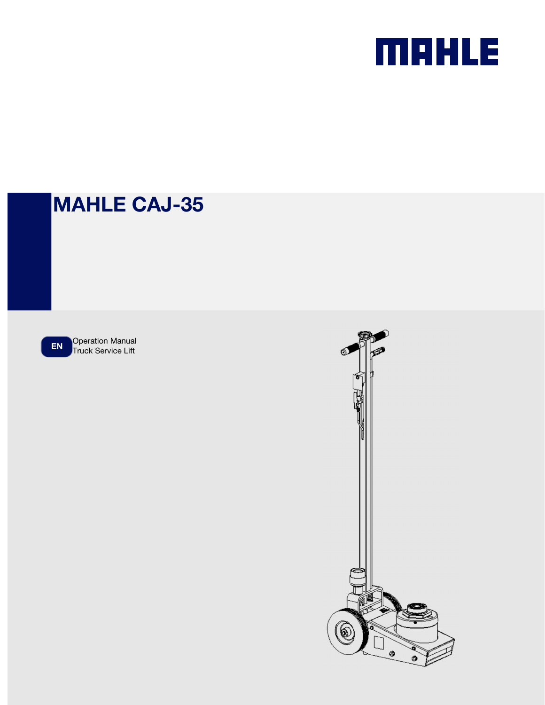

# MAHLE CAJ-35

EN Operation Manual<br>Truck Service Lift

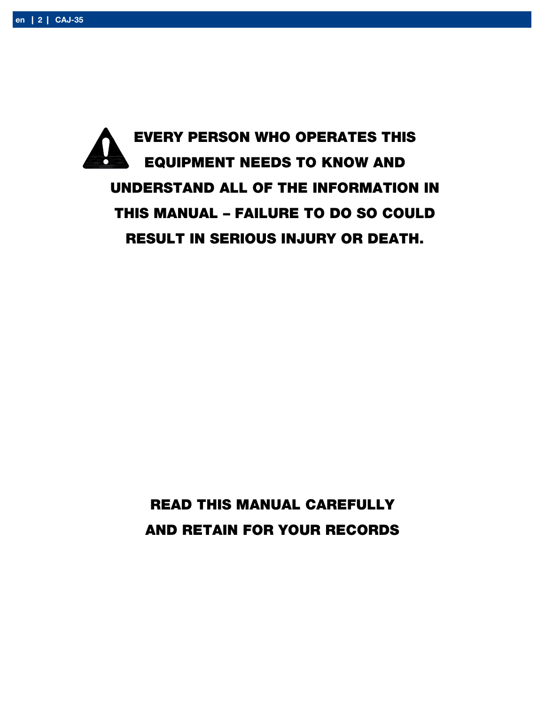

READ THIS MANUAL CAREFULLY AND RETAIN FOR YOUR RECORDS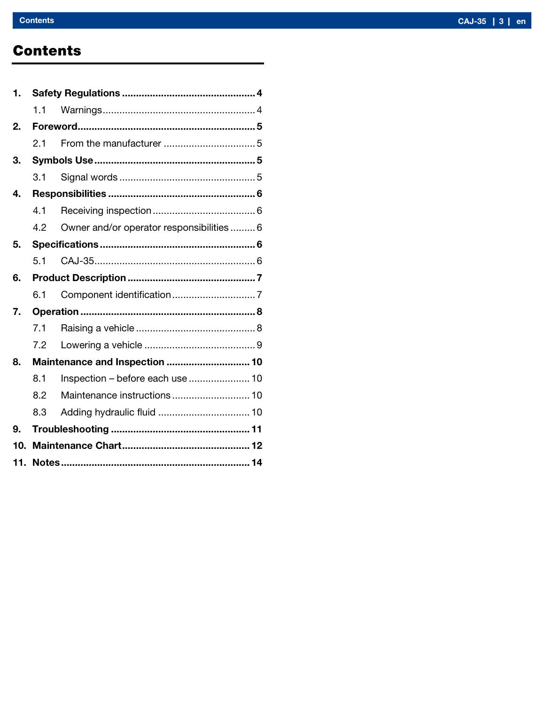### **Contents**

| 1.  |     |                                           |  |
|-----|-----|-------------------------------------------|--|
|     | 1.1 |                                           |  |
| 2.  |     |                                           |  |
|     | 2.1 |                                           |  |
| 3.  |     |                                           |  |
|     | 3.1 |                                           |  |
| 4.  |     |                                           |  |
|     | 4.1 |                                           |  |
|     | 4.2 | Owner and/or operator responsibilities  6 |  |
| 5.  |     |                                           |  |
|     | 5.1 |                                           |  |
| 6.  |     |                                           |  |
|     | 6.1 |                                           |  |
| 7.  |     |                                           |  |
|     | 7.1 |                                           |  |
|     | 7.2 |                                           |  |
| 8.  |     | Maintenance and Inspection  10            |  |
|     | 8.1 | Inspection - before each use  10          |  |
|     | 8.2 |                                           |  |
|     | 8.3 | Adding hydraulic fluid  10                |  |
| 9.  |     |                                           |  |
| 10. |     |                                           |  |
|     |     |                                           |  |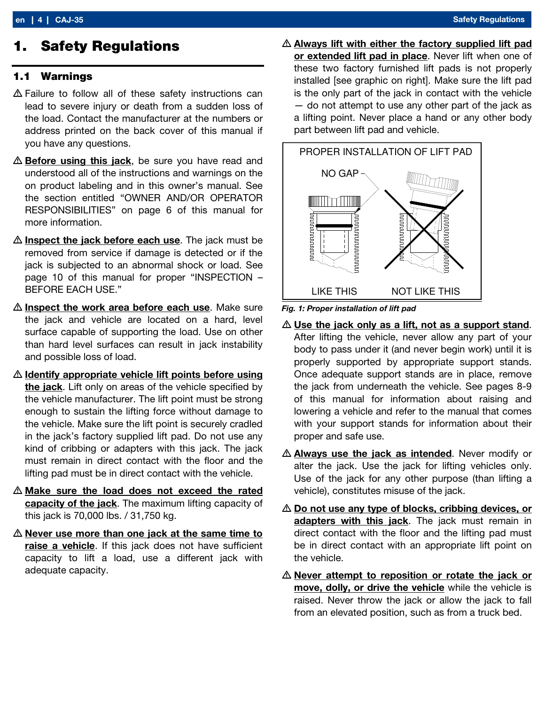### 1. Safety Regulations

#### 1.1 Warnings

- Failure to follow all of these safety instructions can lead to severe injury or death from a sudden loss of the load. Contact the manufacturer at the numbers or address printed on the back cover of this manual if you have any questions.
- $\triangle$  **Before using this jack**, be sure you have read and understood all of the instructions and warnings on the on product labeling and in this owner's manual. See the section entitled "OWNER AND/OR OPERATOR RESPONSIBILITIES" on page 6 of this manual for more information.
- $\triangle$  Inspect the jack before each use. The jack must be removed from service if damage is detected or if the jack is subjected to an abnormal shock or load. See page 10 of this manual for proper "INSPECTION – BEFORE EACH USE."
- $\triangle$  Inspect the work area before each use. Make sure the jack and vehicle are located on a hard, level surface capable of supporting the load. Use on other than hard level surfaces can result in jack instability and possible loss of load.
- $\triangle$  Identify appropriate vehicle lift points before using the jack. Lift only on areas of the vehicle specified by the vehicle manufacturer. The lift point must be strong enough to sustain the lifting force without damage to the vehicle. Make sure the lift point is securely cradled in the jack's factory supplied lift pad. Do not use any kind of cribbing or adapters with this jack. The jack must remain in direct contact with the floor and the lifting pad must be in direct contact with the vehicle.
- $\triangle$  Make sure the load does not exceed the rated capacity of the jack. The maximum lifting capacity of this jack is 70,000 lbs. / 31,750 kg.
- $\triangle$  Never use more than one jack at the same time to raise a vehicle. If this jack does not have sufficient capacity to lift a load, use a different jack with adequate capacity.

 $\triangle$  Always lift with either the factory supplied lift pad or extended lift pad in place. Never lift when one of these two factory furnished lift pads is not properly installed [see graphic on right]. Make sure the lift pad is the only part of the jack in contact with the vehicle — do not attempt to use any other part of the jack as a lifting point. Never place a hand or any other body part between lift pad and vehicle.



Fig. 1: Proper installation of lift pad

- $\triangle$  Use the jack only as a lift, not as a support stand. After lifting the vehicle, never allow any part of your body to pass under it (and never begin work) until it is properly supported by appropriate support stands. Once adequate support stands are in place, remove the jack from underneath the vehicle. See pages 8-9 of this manual for information about raising and lowering a vehicle and refer to the manual that comes with your support stands for information about their proper and safe use.
- A Always use the jack as intended. Never modify or alter the jack. Use the jack for lifting vehicles only. Use of the jack for any other purpose (than lifting a vehicle), constitutes misuse of the jack.
- $\triangle$  Do not use any type of blocks, cribbing devices, or adapters with this jack. The jack must remain in direct contact with the floor and the lifting pad must be in direct contact with an appropriate lift point on the vehicle.
- $\triangle$  Never attempt to reposition or rotate the jack or move, dolly, or drive the vehicle while the vehicle is raised. Never throw the jack or allow the jack to fall from an elevated position, such as from a truck bed.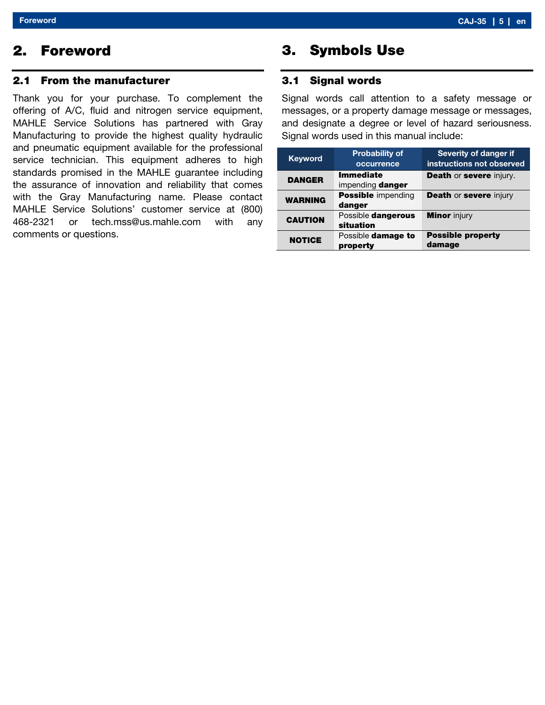### 2. Foreword

#### 2.1 From the manufacturer

Thank you for your purchase. To complement the offering of A/C, fluid and nitrogen service equipment, MAHLE Service Solutions has partnered with Gray Manufacturing to provide the highest quality hydraulic and pneumatic equipment available for the professional service technician. This equipment adheres to high standards promised in the MAHLE guarantee including the assurance of innovation and reliability that comes with the Gray Manufacturing name. Please contact MAHLE Service Solutions' customer service at (800) 468-2321 or tech.mss@us.mahle.com with any comments or questions.

### 3. Symbols Use

#### 3.1 Signal words

Signal words call attention to a safety message or messages, or a property damage message or messages, and designate a degree or level of hazard seriousness. Signal words used in this manual include:

| <b>Keyword</b> | <b>Probability of</b><br>occurrence  | Severity of danger if<br>instructions not observed |
|----------------|--------------------------------------|----------------------------------------------------|
| <b>DANGER</b>  | <b>Immediate</b><br>impending danger | <b>Death or severe injury.</b>                     |
| <b>WARNING</b> | <b>Possible</b> impending<br>danger  | <b>Death or severe injury</b>                      |
| <b>CAUTION</b> | Possible dangerous<br>situation      | <b>Minor</b> injury                                |
| <b>NOTICE</b>  | Possible damage to<br>property       | <b>Possible property</b><br>damage                 |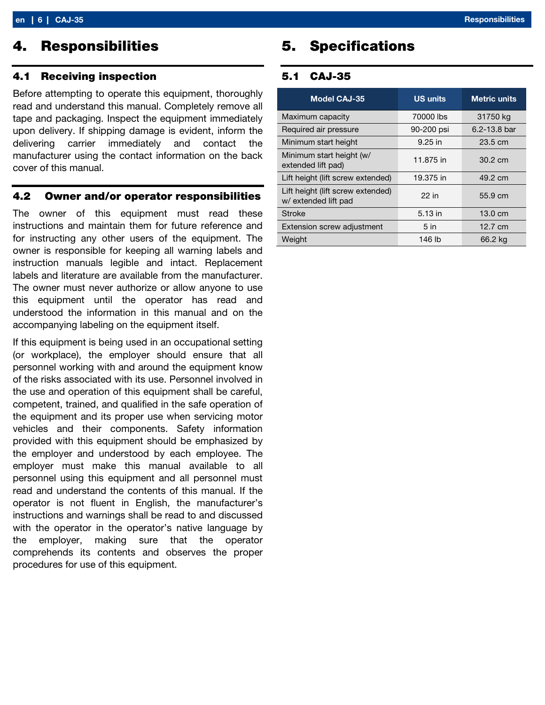### 4. Responsibilities

#### 4.1 Receiving inspection

Before attempting to operate this equipment, thoroughly read and understand this manual. Completely remove all tape and packaging. Inspect the equipment immediately upon delivery. If shipping damage is evident, inform the delivering carrier immediately and contact the manufacturer using the contact information on the back cover of this manual.

#### 4.2 Owner and/or operator responsibilities

The owner of this equipment must read these instructions and maintain them for future reference and for instructing any other users of the equipment. The owner is responsible for keeping all warning labels and instruction manuals legible and intact. Replacement labels and literature are available from the manufacturer. The owner must never authorize or allow anyone to use this equipment until the operator has read and understood the information in this manual and on the accompanying labeling on the equipment itself.

If this equipment is being used in an occupational setting (or workplace), the employer should ensure that all personnel working with and around the equipment know of the risks associated with its use. Personnel involved in the use and operation of this equipment shall be careful, competent, trained, and qualified in the safe operation of the equipment and its proper use when servicing motor vehicles and their components. Safety information provided with this equipment should be emphasized by the employer and understood by each employee. The employer must make this manual available to all personnel using this equipment and all personnel must read and understand the contents of this manual. If the operator is not fluent in English, the manufacturer's instructions and warnings shall be read to and discussed with the operator in the operator's native language by the employer, making sure that the operator comprehends its contents and observes the proper procedures for use of this equipment.

### 5. Specifications

#### 5.1 CAJ-35

| <b>Model CAJ-35</b>                                       | <b>US units</b> | <b>Metric units</b> |
|-----------------------------------------------------------|-----------------|---------------------|
| Maximum capacity                                          | 70000 lbs       | 31750 kg            |
| Required air pressure                                     | 90-200 psi      | 6.2-13.8 bar        |
| Minimum start height                                      | $9.25$ in       | $23.5 \text{ cm}$   |
| Minimum start height (w/<br>extended lift pad)            | 11.875 in       | $30.2 \text{ cm}$   |
| Lift height (lift screw extended)                         | 19.375 in       | 49.2 cm             |
| Lift height (lift screw extended)<br>w/ extended lift pad | 22 in           | 55.9 cm             |
| <b>Stroke</b>                                             | 5.13 in         | $13.0 \text{ cm}$   |
| Extension screw adjustment                                | 5 <sub>in</sub> | 12.7 cm             |
| Weight                                                    | 146 lb          | 66.2 kg             |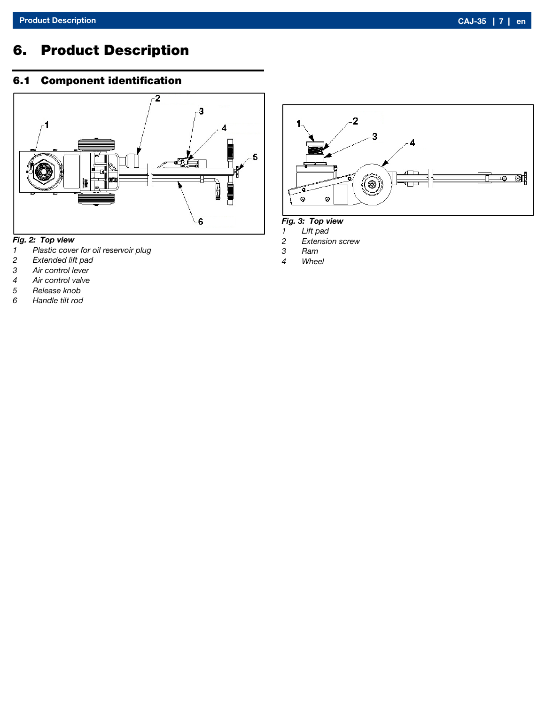## 6. Product Description

### 6.1 Component identification



#### Fig. 2: Top view

- 1 Plastic cover for oil reservoir plug<br>2 Extended lift pad
- 2 Extended lift pad<br>3 Air control lever
- Air control lever
- 4 Air control valve<br>5 Release knob
- Release knob
- 6 Handle tilt rod



#### Fig. 3: Top view

- 1 Lift pad<br>2 Extensio
- 2 Extension screw<br>3 Ram
- **Ram**
- 4 Wheel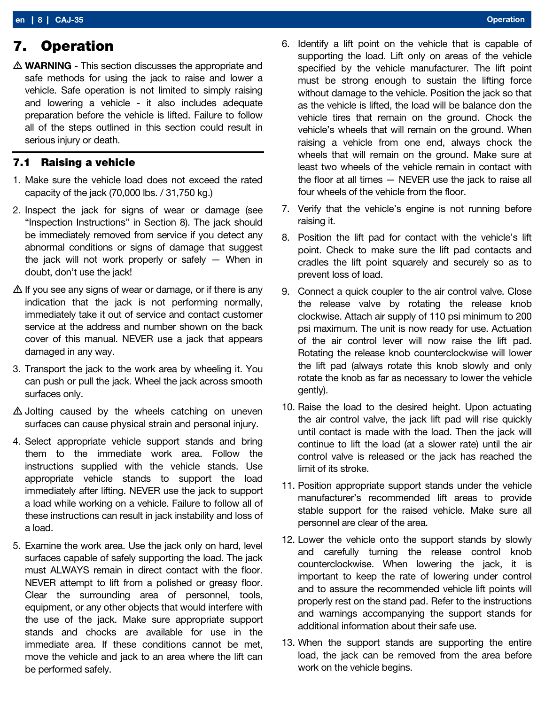### 7. Operation

 $\triangle$  WARNING - This section discusses the appropriate and safe methods for using the jack to raise and lower a vehicle. Safe operation is not limited to simply raising and lowering a vehicle - it also includes adequate preparation before the vehicle is lifted. Failure to follow all of the steps outlined in this section could result in serious injury or death.

#### 7.1 Raising a vehicle

- 1. Make sure the vehicle load does not exceed the rated capacity of the jack (70,000 lbs. / 31,750 kg.)
- 2. Inspect the jack for signs of wear or damage (see "Inspection Instructions" in Section 8). The jack should be immediately removed from service if you detect any abnormal conditions or signs of damage that suggest the jack will not work properly or safely — When in doubt, don't use the jack!
- $\Delta$  If you see any signs of wear or damage, or if there is any indication that the jack is not performing normally, immediately take it out of service and contact customer service at the address and number shown on the back cover of this manual. NEVER use a jack that appears damaged in any way.
- 3. Transport the jack to the work area by wheeling it. You can push or pull the jack. Wheel the jack across smooth surfaces only.
- $\triangle$  Jolting caused by the wheels catching on uneven surfaces can cause physical strain and personal injury.
- 4. Select appropriate vehicle support stands and bring them to the immediate work area. Follow the instructions supplied with the vehicle stands. Use appropriate vehicle stands to support the load immediately after lifting. NEVER use the jack to support a load while working on a vehicle. Failure to follow all of these instructions can result in jack instability and loss of a load.
- 5. Examine the work area. Use the jack only on hard, level surfaces capable of safely supporting the load. The jack must ALWAYS remain in direct contact with the floor. NEVER attempt to lift from a polished or greasy floor. Clear the surrounding area of personnel, tools, equipment, or any other objects that would interfere with the use of the jack. Make sure appropriate support stands and chocks are available for use in the immediate area. If these conditions cannot be met, move the vehicle and jack to an area where the lift can be performed safely.
- 6. Identify a lift point on the vehicle that is capable of supporting the load. Lift only on areas of the vehicle specified by the vehicle manufacturer. The lift point must be strong enough to sustain the lifting force without damage to the vehicle. Position the jack so that as the vehicle is lifted, the load will be balance don the vehicle tires that remain on the ground. Chock the vehicle's wheels that will remain on the ground. When raising a vehicle from one end, always chock the wheels that will remain on the ground. Make sure at least two wheels of the vehicle remain in contact with the floor at all times — NEVER use the jack to raise all four wheels of the vehicle from the floor.
- 7. Verify that the vehicle's engine is not running before raising it.
- 8. Position the lift pad for contact with the vehicle's lift point. Check to make sure the lift pad contacts and cradles the lift point squarely and securely so as to prevent loss of load.
- 9. Connect a quick coupler to the air control valve. Close the release valve by rotating the release knob clockwise. Attach air supply of 110 psi minimum to 200 psi maximum. The unit is now ready for use. Actuation of the air control lever will now raise the lift pad. Rotating the release knob counterclockwise will lower the lift pad (always rotate this knob slowly and only rotate the knob as far as necessary to lower the vehicle gently).
- 10. Raise the load to the desired height. Upon actuating the air control valve, the jack lift pad will rise quickly until contact is made with the load. Then the jack will continue to lift the load (at a slower rate) until the air control valve is released or the jack has reached the limit of its stroke.
- 11. Position appropriate support stands under the vehicle manufacturer's recommended lift areas to provide stable support for the raised vehicle. Make sure all personnel are clear of the area.
- 12. Lower the vehicle onto the support stands by slowly and carefully turning the release control knob counterclockwise. When lowering the jack, it is important to keep the rate of lowering under control and to assure the recommended vehicle lift points will properly rest on the stand pad. Refer to the instructions and warnings accompanying the support stands for additional information about their safe use.
- 13. When the support stands are supporting the entire load, the jack can be removed from the area before work on the vehicle begins.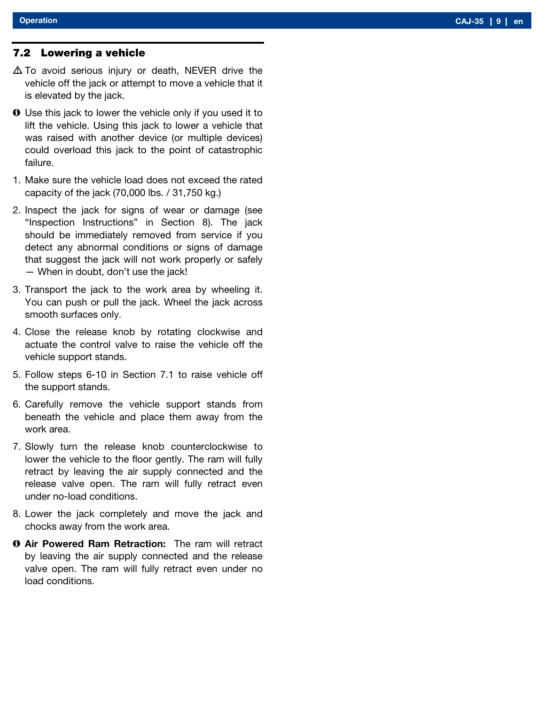#### 7.2 Lowering a vehicle

- $\triangle$  To avoid serious injury or death, NEVER drive the vehicle off the jack or attempt to move a vehicle that it is elevated by the jack.
- Use this jack to lower the vehicle only if you used it to lift the vehicle. Using this jack to lower a vehicle that was raised with another device (or multiple devices) could overload this jack to the point of catastrophic failure.
- 1. Make sure the vehicle load does not exceed the rated capacity of the jack (70,000 lbs. / 31,750 kg.)
- 2. Inspect the jack for signs of wear or damage (see "Inspection Instructions" in Section 8). The jack should be immediately removed from service if you detect any abnormal conditions or signs of damage that suggest the jack will not work properly or safely — When in doubt, don't use the jack!
- 3. Transport the jack to the work area by wheeling it. You can push or pull the jack. Wheel the jack across smooth surfaces only.
- 4. Close the release knob by rotating clockwise and actuate the control valve to raise the vehicle off the vehicle support stands.
- 5. Follow steps 6-10 in Section 7.1 to raise vehicle off the support stands.
- 6. Carefully remove the vehicle support stands from beneath the vehicle and place them away from the work area.
- 7. Slowly turn the release knob counterclockwise to lower the vehicle to the floor gently. The ram will fully retract by leaving the air supply connected and the release valve open. The ram will fully retract even under no-load conditions.
- 8. Lower the jack completely and move the jack and chocks away from the work area.
- **O Air Powered Ram Retraction:** The ram will retract by leaving the air supply connected and the release valve open. The ram will fully retract even under no load conditions.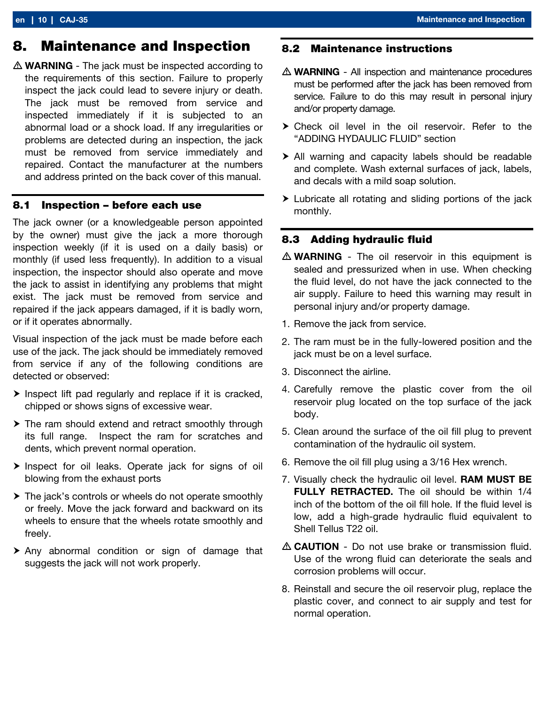### 8. Maintenance and Inspection

 $\triangle$  WARNING - The jack must be inspected according to the requirements of this section. Failure to properly inspect the jack could lead to severe injury or death. The jack must be removed from service and inspected immediately if it is subjected to an abnormal load or a shock load. If any irregularities or problems are detected during an inspection, the jack must be removed from service immediately and repaired. Contact the manufacturer at the numbers and address printed on the back cover of this manual.

#### 8.1 Inspection – before each use

The jack owner (or a knowledgeable person appointed by the owner) must give the jack a more thorough inspection weekly (if it is used on a daily basis) or monthly (if used less frequently). In addition to a visual inspection, the inspector should also operate and move the jack to assist in identifying any problems that might exist. The jack must be removed from service and repaired if the jack appears damaged, if it is badly worn, or if it operates abnormally.

Visual inspection of the jack must be made before each use of the jack. The jack should be immediately removed from service if any of the following conditions are detected or observed:

- $\triangleright$  Inspect lift pad regularly and replace if it is cracked, chipped or shows signs of excessive wear.
- The ram should extend and retract smoothly through its full range. Inspect the ram for scratches and dents, which prevent normal operation.
- $\triangleright$  Inspect for oil leaks. Operate jack for signs of oil blowing from the exhaust ports
- ▶ The jack's controls or wheels do not operate smoothly or freely. Move the jack forward and backward on its wheels to ensure that the wheels rotate smoothly and freely.
- Any abnormal condition or sign of damage that suggests the jack will not work properly.

#### 8.2 Maintenance instructions

- $\triangle$  WARNING All inspection and maintenance procedures must be performed after the jack has been removed from service. Failure to do this may result in personal injury and/or property damage.
- Check oil level in the oil reservoir. Refer to the "ADDING HYDAULIC FLUID" section
- All warning and capacity labels should be readable and complete. Wash external surfaces of jack, labels, and decals with a mild soap solution.
- Lubricate all rotating and sliding portions of the jack monthly.

#### 8.3 Adding hydraulic fluid

- $\triangle$  WARNING The oil reservoir in this equipment is sealed and pressurized when in use. When checking the fluid level, do not have the jack connected to the air supply. Failure to heed this warning may result in personal injury and/or property damage.
- 1. Remove the jack from service.
- 2. The ram must be in the fully-lowered position and the jack must be on a level surface.
- 3. Disconnect the airline.
- 4. Carefully remove the plastic cover from the oil reservoir plug located on the top surface of the jack body.
- 5. Clean around the surface of the oil fill plug to prevent contamination of the hydraulic oil system.
- 6. Remove the oil fill plug using a 3/16 Hex wrench.
- 7. Visually check the hydraulic oil level. RAM MUST BE FULLY RETRACTED. The oil should be within 1/4 inch of the bottom of the oil fill hole. If the fluid level is low, add a high-grade hydraulic fluid equivalent to Shell Tellus T22 oil.
- $\triangle$  CAUTION Do not use brake or transmission fluid. Use of the wrong fluid can deteriorate the seals and corrosion problems will occur.
- 8. Reinstall and secure the oil reservoir plug, replace the plastic cover, and connect to air supply and test for normal operation.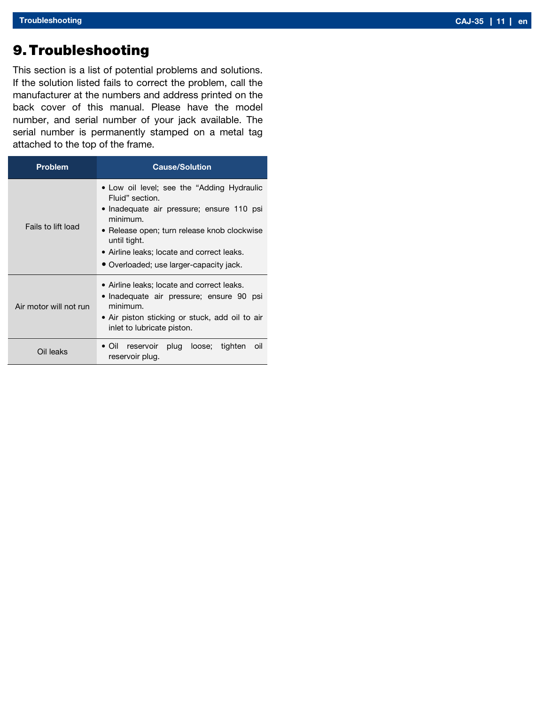### 9.Troubleshooting

This section is a list of potential problems and solutions. If the solution listed fails to correct the problem, call the manufacturer at the numbers and address printed on the back cover of this manual. Please have the model number, and serial number of your jack available. The serial number is permanently stamped on a metal tag attached to the top of the frame.

| <b>Problem</b>         | <b>Cause/Solution</b>                                                                                                                                                                                                                                                          |  |
|------------------------|--------------------------------------------------------------------------------------------------------------------------------------------------------------------------------------------------------------------------------------------------------------------------------|--|
| Fails to lift load     | • Low oil level; see the "Adding Hydraulic<br>Fluid" section.<br>• Inadequate air pressure; ensure 110 psi<br>minimum.<br>• Release open; turn release knob clockwise<br>until tight.<br>• Airline leaks; locate and correct leaks.<br>• Overloaded; use larger-capacity jack. |  |
| Air motor will not run | • Airline leaks; locate and correct leaks.<br>• Inadequate air pressure; ensure 90 psi<br>minimum.<br>• Air piston sticking or stuck, add oil to air<br>inlet to lubricate piston.                                                                                             |  |
| Oil leaks              | reservoir plug loose; tighten<br>$\bullet$ Oil<br>oil<br>reservoir plug.                                                                                                                                                                                                       |  |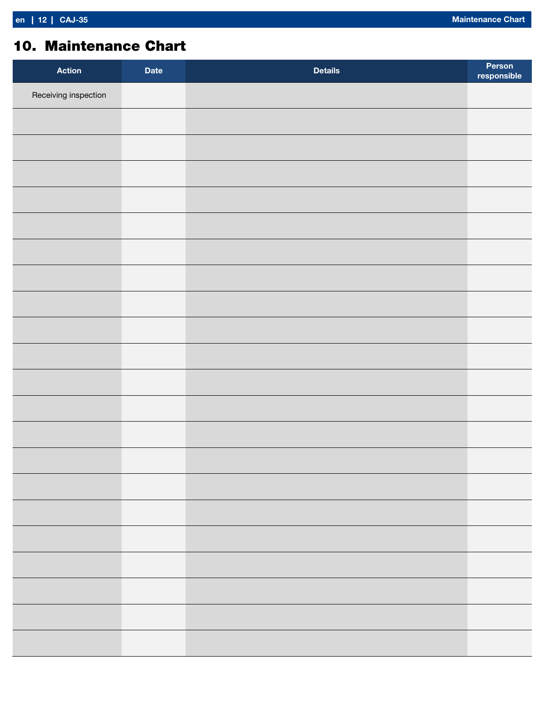### 10. Maintenance Chart

| <b>Action</b>        | <b>Date</b> | <b>Details</b> | Person<br>responsible |
|----------------------|-------------|----------------|-----------------------|
| Receiving inspection |             |                |                       |
|                      |             |                |                       |
|                      |             |                |                       |
|                      |             |                |                       |
|                      |             |                |                       |
|                      |             |                |                       |
|                      |             |                |                       |
|                      |             |                |                       |
|                      |             |                |                       |
|                      |             |                |                       |
|                      |             |                |                       |
|                      |             |                |                       |
|                      |             |                |                       |
|                      |             |                |                       |
|                      |             |                |                       |
|                      |             |                |                       |
|                      |             |                |                       |
|                      |             |                |                       |
|                      |             |                |                       |
|                      |             |                |                       |
|                      |             |                |                       |
|                      |             |                |                       |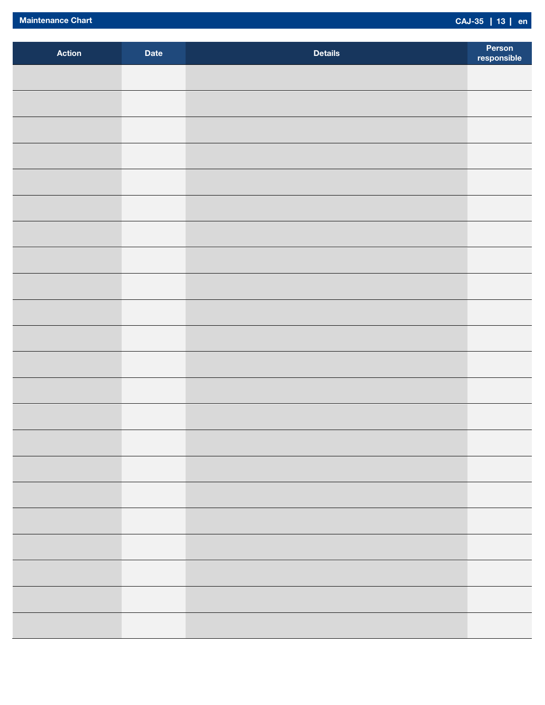| Action | <b>Date</b> | <b>Details</b> | Person<br>responsible |
|--------|-------------|----------------|-----------------------|
|        |             |                |                       |
|        |             |                |                       |
|        |             |                |                       |
|        |             |                |                       |
|        |             |                |                       |
|        |             |                |                       |
|        |             |                |                       |
|        |             |                |                       |
|        |             |                |                       |
|        |             |                |                       |
|        |             |                |                       |
|        |             |                |                       |
|        |             |                |                       |
|        |             |                |                       |
|        |             |                |                       |
|        |             |                |                       |
|        |             |                |                       |
|        |             |                |                       |
|        |             |                |                       |
|        |             |                |                       |
|        |             |                |                       |
|        |             |                |                       |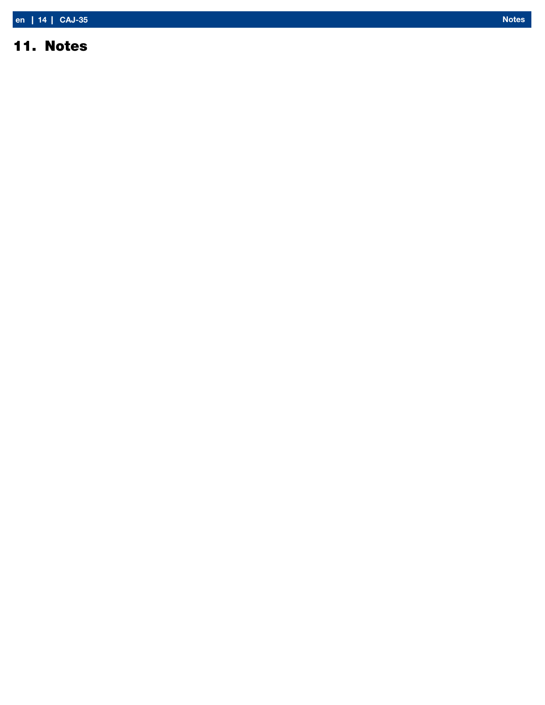### 11. Notes